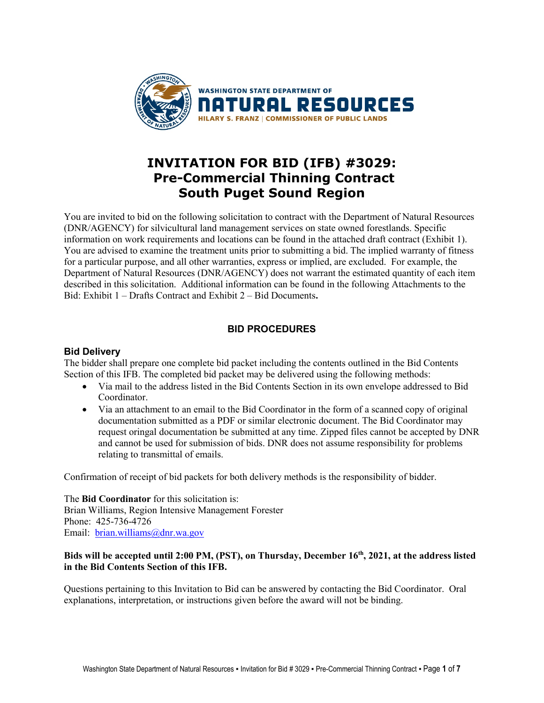

# **INVITATION FOR BID (IFB) #3029: Pre-Commercial Thinning Contract South Puget Sound Region**

You are invited to bid on the following solicitation to contract with the Department of Natural Resources (DNR/AGENCY) for silvicultural land management services on state owned forestlands. Specific information on work requirements and locations can be found in the attached draft contract (Exhibit 1). You are advised to examine the treatment units prior to submitting a bid. The implied warranty of fitness for a particular purpose, and all other warranties, express or implied, are excluded. For example, the Department of Natural Resources (DNR/AGENCY) does not warrant the estimated quantity of each item described in this solicitation. Additional information can be found in the following Attachments to the Bid: Exhibit 1 – Drafts Contract and Exhibit 2 – Bid Documents**.**

## **BID PROCEDURES**

## **Bid Delivery**

The bidder shall prepare one complete bid packet including the contents outlined in the Bid Contents Section of this IFB. The completed bid packet may be delivered using the following methods:

- Via mail to the address listed in the Bid Contents Section in its own envelope addressed to Bid Coordinator.
- Via an attachment to an email to the Bid Coordinator in the form of a scanned copy of original documentation submitted as a PDF or similar electronic document. The Bid Coordinator may request oringal documentation be submitted at any time. Zipped files cannot be accepted by DNR and cannot be used for submission of bids. DNR does not assume responsibility for problems relating to transmittal of emails.

Confirmation of receipt of bid packets for both delivery methods is the responsibility of bidder.

The **Bid Coordinator** for this solicitation is: Brian Williams, Region Intensive Management Forester Phone: 425-736-4726 Email: [brian.williams@dnr.wa.gov](mailto:brian.williams@dnr.wa.gov)

## **Bids will be accepted until 2:00 PM, (PST), on Thursday, December 16th, 2021, at the address listed in the Bid Contents Section of this IFB.**

Questions pertaining to this Invitation to Bid can be answered by contacting the Bid Coordinator. Oral explanations, interpretation, or instructions given before the award will not be binding.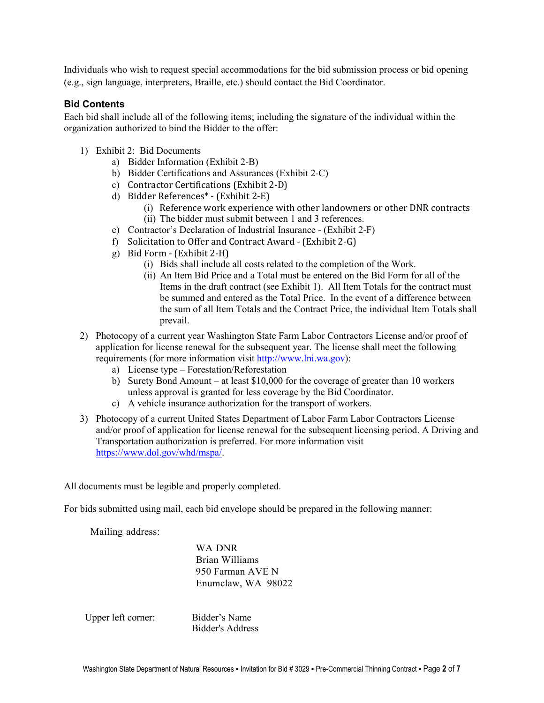Individuals who wish to request special accommodations for the bid submission process or bid opening (e.g., sign language, interpreters, Braille, etc.) should contact the Bid Coordinator.

## **Bid Contents**

Each bid shall include all of the following items; including the signature of the individual within the organization authorized to bind the Bidder to the offer:

- 1) Exhibit 2: Bid Documents
	- a) Bidder Information (Exhibit 2-B)
	- b) Bidder Certifications and Assurances (Exhibit 2-C)
	- c) Contractor Certifications (Exhibit 2-D)
	- d) Bidder References\* (Exhibit 2-E)
		- (i) Reference work experience with other landowners or other DNR contracts (ii) The bidder must submit between 1 and 3 references.
	- e) Contractor's Declaration of Industrial Insurance (Exhibit 2-F)
	- f) Solicitation to Offer and Contract Award (Exhibit 2-G)
	- g) Bid Form (Exhibit 2-H)
		- (i) Bids shall include all costs related to the completion of the Work.
		- (ii) An Item Bid Price and a Total must be entered on the Bid Form for all of the Items in the draft contract (see Exhibit 1). All Item Totals for the contract must be summed and entered as the Total Price. In the event of a difference between the sum of all Item Totals and the Contract Price, the individual Item Totals shall prevail.
- 2) Photocopy of a current year Washington State Farm Labor Contractors License and/or proof of application for license renewal for the subsequent year. The license shall meet the following requirements (for more information visit [http://www.lni.wa.gov\)](http://www.lni.wa.gov/):
	- a) License type Forestation/Reforestation
	- b) Surety Bond Amount at least \$10,000 for the coverage of greater than 10 workers unless approval is granted for less coverage by the Bid Coordinator.
	- c) A vehicle insurance authorization for the transport of workers.
- 3) Photocopy of a current United States Department of Labor Farm Labor Contractors License and/or proof of application for license renewal for the subsequent licensing period. A Driving and Transportation authorization is preferred. For more information visit [https://www.dol.gov/whd/mspa/.](https://www.dol.gov/whd/mspa/)

All documents must be legible and properly completed.

For bids submitted using mail, each bid envelope should be prepared in the following manner:

Mailing address:

WA DNR Brian Williams 950 Farman AVE N Enumclaw, WA 98022

Upper left corner: Bidder's Name

Bidder's Address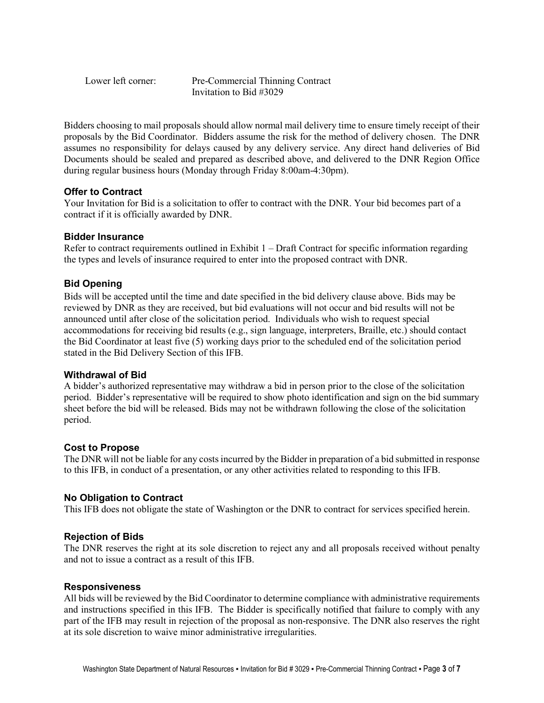Lower left corner: Pre-Commercial Thinning Contract Invitation to Bid #3029

Bidders choosing to mail proposals should allow normal mail delivery time to ensure timely receipt of their proposals by the Bid Coordinator. Bidders assume the risk for the method of delivery chosen. The DNR assumes no responsibility for delays caused by any delivery service. Any direct hand deliveries of Bid Documents should be sealed and prepared as described above, and delivered to the DNR Region Office during regular business hours (Monday through Friday 8:00am-4:30pm).

## **Offer to Contract**

Your Invitation for Bid is a solicitation to offer to contract with the DNR. Your bid becomes part of a contract if it is officially awarded by DNR.

## **Bidder Insurance**

Refer to contract requirements outlined in Exhibit  $1 - \text{Draft Contract for specific information regarding}$ the types and levels of insurance required to enter into the proposed contract with DNR.

## **Bid Opening**

Bids will be accepted until the time and date specified in the bid delivery clause above. Bids may be reviewed by DNR as they are received, but bid evaluations will not occur and bid results will not be announced until after close of the solicitation period. Individuals who wish to request special accommodations for receiving bid results (e.g., sign language, interpreters, Braille, etc.) should contact the Bid Coordinator at least five (5) working days prior to the scheduled end of the solicitation period stated in the Bid Delivery Section of this IFB.

## **Withdrawal of Bid**

A bidder's authorized representative may withdraw a bid in person prior to the close of the solicitation period. Bidder's representative will be required to show photo identification and sign on the bid summary sheet before the bid will be released. Bids may not be withdrawn following the close of the solicitation period.

## **Cost to Propose**

The DNR will not be liable for any costs incurred by the Bidder in preparation of a bid submitted in response to this IFB, in conduct of a presentation, or any other activities related to responding to this IFB.

#### **No Obligation to Contract**

This IFB does not obligate the state of Washington or the DNR to contract for services specified herein.

#### **Rejection of Bids**

The DNR reserves the right at its sole discretion to reject any and all proposals received without penalty and not to issue a contract as a result of this IFB.

#### **Responsiveness**

All bids will be reviewed by the Bid Coordinator to determine compliance with administrative requirements and instructions specified in this IFB. The Bidder is specifically notified that failure to comply with any part of the IFB may result in rejection of the proposal as non-responsive. The DNR also reserves the right at its sole discretion to waive minor administrative irregularities.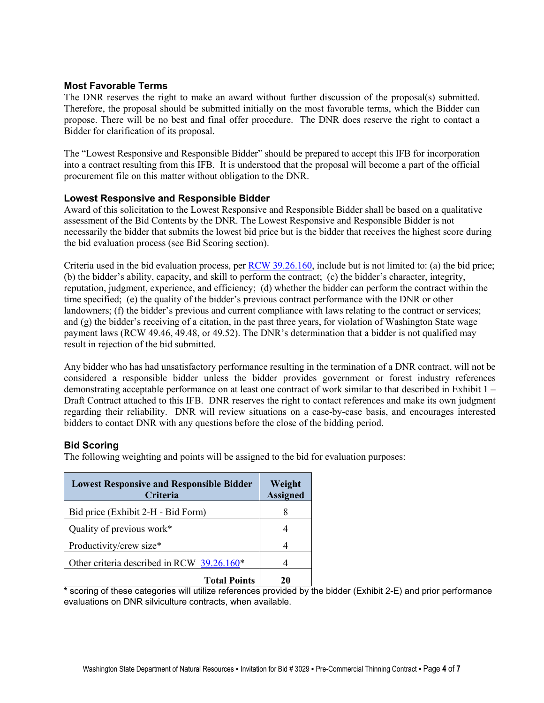## **Most Favorable Terms**

The DNR reserves the right to make an award without further discussion of the proposal(s) submitted. Therefore, the proposal should be submitted initially on the most favorable terms, which the Bidder can propose. There will be no best and final offer procedure. The DNR does reserve the right to contact a Bidder for clarification of its proposal.

The "Lowest Responsive and Responsible Bidder" should be prepared to accept this IFB for incorporation into a contract resulting from this IFB. It is understood that the proposal will become a part of the official procurement file on this matter without obligation to the DNR.

#### **Lowest Responsive and Responsible Bidder**

Award of this solicitation to the Lowest Responsive and Responsible Bidder shall be based on a qualitative assessment of the Bid Contents by the DNR. The Lowest Responsive and Responsible Bidder is not necessarily the bidder that submits the lowest bid price but is the bidder that receives the highest score during the bid evaluation process (see Bid Scoring section).

Criteria used in the bid evaluation process, per [RCW 39.26.160,](http://apps.leg.wa.gov/rcw/default.aspx?cite=39.26.160) include but is not limited to: (a) the bid price; (b) the bidder's ability, capacity, and skill to perform the contract; (c) the bidder's character, integrity, reputation, judgment, experience, and efficiency; (d) whether the bidder can perform the contract within the time specified; (e) the quality of the bidder's previous contract performance with the DNR or other landowners; (f) the bidder's previous and current compliance with laws relating to the contract or services; and (g) the bidder's receiving of a citation, in the past three years, for violation of Washington State wage payment laws (RCW 49.46, 49.48, or 49.52). The DNR's determination that a bidder is not qualified may result in rejection of the bid submitted.

Any bidder who has had unsatisfactory performance resulting in the termination of a DNR contract, will not be considered a responsible bidder unless the bidder provides government or forest industry references demonstrating acceptable performance on at least one contract of work similar to that described in Exhibit 1 – Draft Contract attached to this IFB. DNR reserves the right to contact references and make its own judgment regarding their reliability. DNR will review situations on a case-by-case basis, and encourages interested bidders to contact DNR with any questions before the close of the bidding period.

## **Bid Scoring**

The following weighting and points will be assigned to the bid for evaluation purposes:

| <b>Lowest Responsive and Responsible Bidder</b><br>Criteria | Weight<br><b>Assigned</b> |  |  |
|-------------------------------------------------------------|---------------------------|--|--|
| Bid price (Exhibit 2-H - Bid Form)                          | 8                         |  |  |
| Quality of previous work*                                   |                           |  |  |
| Productivity/crew size*                                     |                           |  |  |
| Other criteria described in RCW 39.26.160*                  |                           |  |  |
| <b>Total Points</b>                                         | 20                        |  |  |

**\*** scoring of these categories will utilize references provided by the bidder (Exhibit 2-E) and prior performance evaluations on DNR silviculture contracts, when available.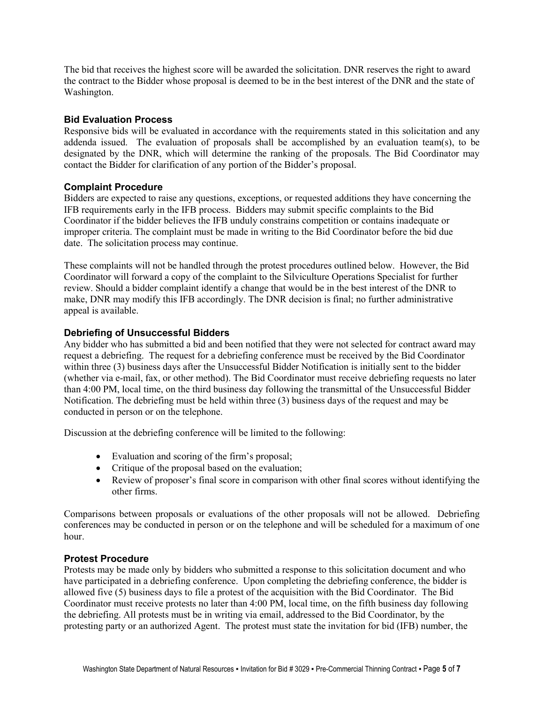The bid that receives the highest score will be awarded the solicitation. DNR reserves the right to award the contract to the Bidder whose proposal is deemed to be in the best interest of the DNR and the state of Washington.

#### **Bid Evaluation Process**

Responsive bids will be evaluated in accordance with the requirements stated in this solicitation and any addenda issued. The evaluation of proposals shall be accomplished by an evaluation team(s), to be designated by the DNR, which will determine the ranking of the proposals. The Bid Coordinator may contact the Bidder for clarification of any portion of the Bidder's proposal.

## **Complaint Procedure**

Bidders are expected to raise any questions, exceptions, or requested additions they have concerning the IFB requirements early in the IFB process. Bidders may submit specific complaints to the Bid Coordinator if the bidder believes the IFB unduly constrains competition or contains inadequate or improper criteria. The complaint must be made in writing to the Bid Coordinator before the bid due date. The solicitation process may continue.

These complaints will not be handled through the protest procedures outlined below. However, the Bid Coordinator will forward a copy of the complaint to the Silviculture Operations Specialist for further review. Should a bidder complaint identify a change that would be in the best interest of the DNR to make, DNR may modify this IFB accordingly. The DNR decision is final; no further administrative appeal is available.

## **Debriefing of Unsuccessful Bidders**

Any bidder who has submitted a bid and been notified that they were not selected for contract award may request a debriefing. The request for a debriefing conference must be received by the Bid Coordinator within three (3) business days after the Unsuccessful Bidder Notification is initially sent to the bidder (whether via e-mail, fax, or other method). The Bid Coordinator must receive debriefing requests no later than 4:00 PM, local time, on the third business day following the transmittal of the Unsuccessful Bidder Notification. The debriefing must be held within three (3) business days of the request and may be conducted in person or on the telephone.

Discussion at the debriefing conference will be limited to the following:

- Evaluation and scoring of the firm's proposal;
- Critique of the proposal based on the evaluation;
- Review of proposer's final score in comparison with other final scores without identifying the other firms.

Comparisons between proposals or evaluations of the other proposals will not be allowed. Debriefing conferences may be conducted in person or on the telephone and will be scheduled for a maximum of one hour.

#### **Protest Procedure**

Protests may be made only by bidders who submitted a response to this solicitation document and who have participated in a debriefing conference. Upon completing the debriefing conference, the bidder is allowed five (5) business days to file a protest of the acquisition with the Bid Coordinator. The Bid Coordinator must receive protests no later than 4:00 PM, local time, on the fifth business day following the debriefing. All protests must be in writing via email, addressed to the Bid Coordinator, by the protesting party or an authorized Agent. The protest must state the invitation for bid (IFB) number, the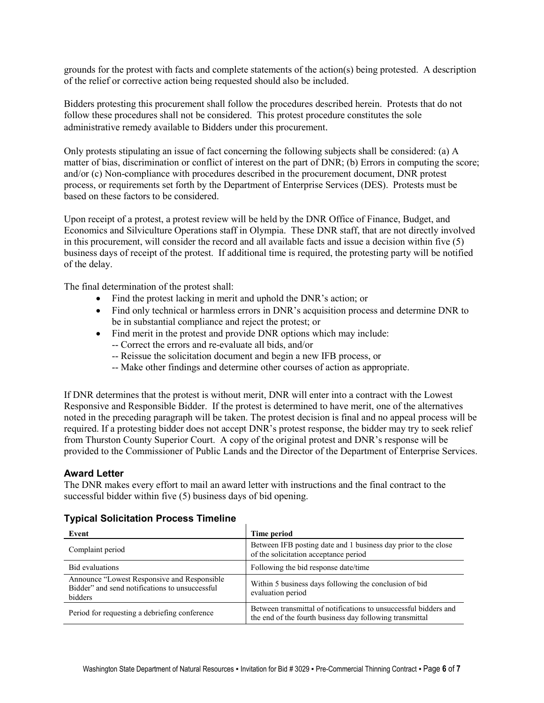grounds for the protest with facts and complete statements of the action(s) being protested. A description of the relief or corrective action being requested should also be included.

Bidders protesting this procurement shall follow the procedures described herein. Protests that do not follow these procedures shall not be considered. This protest procedure constitutes the sole administrative remedy available to Bidders under this procurement.

Only protests stipulating an issue of fact concerning the following subjects shall be considered: (a) A matter of bias, discrimination or conflict of interest on the part of DNR; (b) Errors in computing the score; and/or (c) Non-compliance with procedures described in the procurement document, DNR protest process, or requirements set forth by the Department of Enterprise Services (DES). Protests must be based on these factors to be considered.

Upon receipt of a protest, a protest review will be held by the DNR Office of Finance, Budget, and Economics and Silviculture Operations staff in Olympia. These DNR staff, that are not directly involved in this procurement, will consider the record and all available facts and issue a decision within five (5) business days of receipt of the protest. If additional time is required, the protesting party will be notified of the delay.

The final determination of the protest shall:

- Find the protest lacking in merit and uphold the DNR's action; or
- Find only technical or harmless errors in DNR's acquisition process and determine DNR to be in substantial compliance and reject the protest; or
- Find merit in the protest and provide DNR options which may include:
	- -- Correct the errors and re-evaluate all bids, and/or
	- -- Reissue the solicitation document and begin a new IFB process, or
	- -- Make other findings and determine other courses of action as appropriate.

If DNR determines that the protest is without merit, DNR will enter into a contract with the Lowest Responsive and Responsible Bidder. If the protest is determined to have merit, one of the alternatives noted in the preceding paragraph will be taken. The protest decision is final and no appeal process will be required. If a protesting bidder does not accept DNR's protest response, the bidder may try to seek relief from Thurston County Superior Court. A copy of the original protest and DNR's response will be provided to the Commissioner of Public Lands and the Director of the Department of Enterprise Services.

## **Award Letter**

The DNR makes every effort to mail an award letter with instructions and the final contract to the successful bidder within five (5) business days of bid opening.

#### **Typical Solicitation Process Timeline**

| Event                                                                                                     | Time period                                                                                                                  |
|-----------------------------------------------------------------------------------------------------------|------------------------------------------------------------------------------------------------------------------------------|
| Complaint period                                                                                          | Between IFB posting date and 1 business day prior to the close<br>of the solicitation acceptance period                      |
| <b>Bid evaluations</b>                                                                                    | Following the bid response date/time                                                                                         |
| Announce "Lowest Responsive and Responsible"<br>Bidder" and send notifications to unsuccessful<br>bidders | Within 5 business days following the conclusion of bid<br>evaluation period                                                  |
| Period for requesting a debriefing conference                                                             | Between transmittal of notifications to unsuccessful bidders and<br>the end of the fourth business day following transmittal |